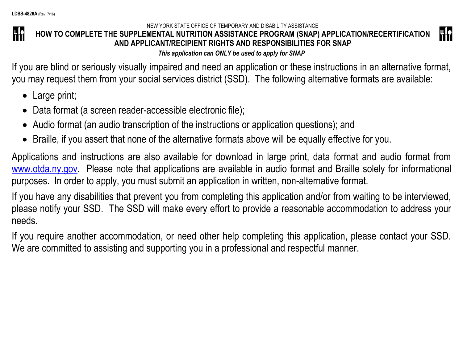### NEW YORK STATE OFFICE OF TEMPORARY AND DISABILITY ASSISTANCE

#### Wh WIO **HOW TO COMPLETE THE SUPPLEMENTAL NUTRITION ASSISTANCE PROGRAM (SNAP) APPLICATION/RECERTIFICATION AND APPLICANT/RECIPIENT RIGHTS AND RESPONSIBILITIES FOR SNAP**

*This application can ONLY be used to apply for SNAP*

If you are blind or seriously visually impaired and need an application or these instructions in an alternative format, you may request them from your social services district (SSD). The following alternative formats are available:

- Large print;
- Data format (a screen reader-accessible electronic file);
- Audio format (an audio transcription of the instructions or application questions); and
- Braille, if you assert that none of the alternative formats above will be equally effective for you.

Applications and instructions are also available for download in large print, data format and audio format from [www.otda.ny.gov.](http://www.otda.ny.gov/) Please note that applications are available in audio format and Braille solely for informational purposes. In order to apply, you must submit an application in written, non-alternative format.

If you have any disabilities that prevent you from completing this application and/or from waiting to be interviewed, please notify your SSD. The SSD will make every effort to provide a reasonable accommodation to address your needs.

If you require another accommodation, or need other help completing this application, please contact your SSD. We are committed to assisting and supporting you in a professional and respectful manner.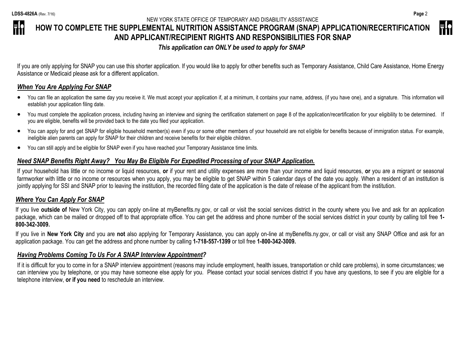#### NEW YORK STATE OFFICE OF TEMPORARY AND DISABILITY ASSISTANCE

# **HOW TO COMPLETE THE SUPPLEMENTAL NUTRITION ASSISTANCE PROGRAM (SNAP) APPLICATION/RECERTIFICATION AND APPLICANT/RECIPIENT RIGHTS AND RESPONSIBILITIES FOR SNAP**

# *This application can ONLY be used to apply for SNAP*

If you are only applying for SNAP you can use this shorter application. If you would like to apply for other benefits such as Temporary Assistance, Child Care Assistance, Home Energy Assistance or Medicaid please ask for a different application.

# *When You Are Applying For SNAP*

- You can file an application the same day you receive it. We must accept your application if, at a minimum, it contains your name, address, (if you have one), and a signature. This information will establish your application filing date.
- You must complete the application process, including having an interview and signing the certification statement on page 8 of the application/recertification for your eligibility to be determined. If you are eligible, benefits will be provided back to the date you filed your application.
- You can apply for and get SNAP for eligible household member(s) even if you or some other members of your household are not eligible for benefits because of immigration status. For example, ineligible alien parents can apply for SNAP for their children and receive benefits for their eligible children.
- You can still apply and be eligible for SNAP even if you have reached your Temporary Assistance time limits.

# *Need SNAP Benefits Right Away? You May Be Eligible For Expedited Processing of your SNAP Application.*

If your household has little or no income or liquid resources, **or** if your rent and utility expenses are more than your income and liquid resources, **or** you are a migrant or seasonal farmworker with little or no income or resources when you apply, you may be eligible to get SNAP within 5 calendar days of the date you apply. When a resident of an institution is jointly applying for SSI and SNAP prior to leaving the institution, the recorded filing date of the application is the date of release of the applicant from the institution.

## *Where You Can Apply For SNAP*

If you live **outside of** New York City, you can apply on-line at myBenefits.ny.gov, or call or visit the social services district in the county where you live and ask for an application package, which can be mailed or dropped off to that appropriate office. You can get the address and phone number of the social services district in your county by calling toll free **1- 800-342-3009.**

If you live in **New York City** and you are **not** also applying for Temporary Assistance, you can apply on-line at myBenefits.ny.gov, or call or visit any SNAP Office and ask for an application package. You can get the address and phone number by calling **1-718-557-1399** or toll free **1-800-342-3009.**

## *Having Problems Coming To Us For A SNAP Interview Appointment?*

If it is difficult for you to come in for a SNAP interview appointment (reasons may include employment, health issues, transportation or child care problems), in some circumstances; we can interview you by telephone, or you may have someone else apply for you. Please contact your social services district if you have any questions, to see if you are eligible for a telephone interview, **or if you need** to reschedule an interview.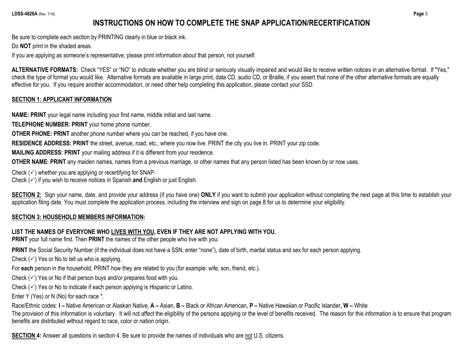# **INSTRUCTIONS ON HOW TO COMPLETE THE SNAP APPLICATION/RECERTIFICATION**

Be sure to complete each section by PRINTING clearly in blue or black ink.

Do **NOT** print in the shaded areas.

If you are applying as someone's representative, please print information about that person, not yourself.

ALTERNATIVE FORMATS: Check "YES" or "NO" to indicate whether you are blind or seriously visually impaired and would like to receive written notices in an alternative format. If "Yes," check the type of format you would like. Alternative formats are available in large print, data CD, audio CD, or Braille, if you assert that none of the other alternative formats are equally effective for you. If you require another accommodation, or need other help completing this application, please contact your SSD.

## **SECTION 1: APPLICANT INFORMATION**

**NAME: PRINT** your legal name including your first name, middle initial and last name.

**TELEPHONE NUMBER: PRINT** your home phone number.

**OTHER PHONE: PRINT** another phone number where you can be reached, if you have one.

**RESIDENCE ADDRESS: PRINT** the street, avenue, road, etc., where you now live. PRINT the city you live in. PRINT your zip code.

**MAILING ADDRESS: PRINT** your mailing address if it is different from your residence.

**OTHER NAME**: **PRINT** any maiden names, names from a previous marriage, or other names that any person listed has been known by or now uses.

Check  $(\checkmark)$  whether you are applying or recertifying for SNAP.

Check  $(\checkmark)$  if you wish to receive notices in Spanish and English or just English.

**SECTION 2:** Sign your name, date, and provide your address (if you have one) **ONLY** if you want to submit your application without completing the next page at this time to establish your application filing date. You must complete the application process, including the interview and sign on page 8 for us to determine your eligibility.

## **SECTION 3: HOUSEHOLD MEMBERS INFORMATION:**

# **LIST THE NAMES OF EVERYONE WHO LIVES WITH YOU, EVEN IF THEY ARE NOT APPLYING WITH YOU.**

**PRINT** your full name first. Then **PRINT** the names of the other people who live with you:

**PRINT** the Social Security Number (if the individual does not have a SSN, enter "none"), date of birth, marital status and sex for each person applying.

Check  $(\checkmark)$  Yes or No to tell us who is applying.

For **each** person in the household, PRINT how they are related to you (for example: wife, son, friend, etc.).

Check  $(\checkmark)$  Yes or No if that person buys and/or prepares food with you.

Check  $(\check{\phantom{a}})$  Yes or No to indicate if each person applying is Hispanic or Latino.

Enter Y (Yes) or N (No) for each race \*.

Race/Ethnic codes: **I –** Native American or Alaskan Native, **A –** Asian, **B –** Black or African American, **P –** Native Hawaiian or Pacific Islander**, W –** White The provision of this information is voluntary. It will not affect the eligibility of the persons applying or the level of benefits received. The reason for this information is to ensure that program benefits are distributed without regard to race, color or nation origin.

**SECTION 4:** Answer all questions in section 4. Be sure to provide the names of individuals who are not U.S. citizens.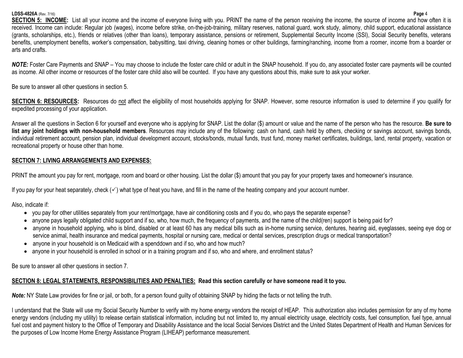#### **LDSS-4826A** (Rev. 7/16) **Page** 4

**SECTION 5: INCOME:** List all your income and the income of everyone living with you. PRINT the name of the person receiving the income, the source of income and how often it is received. Income can include: Regular job (wages), income before strike, on-the-job-training, military reserves, national guard, work study, alimony, child support, educational assistance (grants, scholarships, etc.), friends or relatives (other than loans), temporary assistance, pensions or retirement, Supplemental Security Income (SSI), Social Security benefits, veterans benefits, unemployment benefits, worker's compensation, babysitting, taxi driving, cleaning homes or other buildings, farming/ranching, income from a roomer, income from a boarder or arts and crafts.

*NOTE:* Foster Care Payments and SNAP – You may choose to include the foster care child or adult in the SNAP household. If you do, any associated foster care payments will be counted as income. All other income or resources of the foster care child also will be counted. If you have any questions about this, make sure to ask your worker.

Be sure to answer all other questions in section 5.

**SECTION 6: RESOURCES:** Resources do not affect the eligibility of most households applying for SNAP. However, some resource information is used to determine if you qualify for expedited processing of your application.

Answer all the questions in Section 6 for yourself and everyone who is applying for SNAP. List the dollar (\$) amount or value and the name of the person who has the resource. **Be sure to list any joint holdings with non-household members**. Resources may include any of the following: cash on hand, cash held by others, checking or savings account, savings bonds, individual retirement account, pension plan, individual development account, stocks/bonds, mutual funds, trust fund, money market certificates, buildings, land, rental property, vacation or recreational property or house other than home.

### **SECTION 7: LIVING ARRANGEMENTS AND EXPENSES:**

PRINT the amount you pay for rent, mortgage, room and board or other housing. List the dollar (\$) amount that you pay for your property taxes and homeowner's insurance.

If you pay for your heat separately, check  $(\checkmark)$  what type of heat you have, and fill in the name of the heating company and your account number.

Also, indicate if:

- you pay for other utilities separately from your rent/mortgage, have air conditioning costs and if you do, who pays the separate expense?
- anyone pays legally obligated child support and if so, who, how much, the frequency of payments, and the name of the child(ren) support is being paid for?
- anyone in household applying, who is blind, disabled or at least 60 has any medical bills such as in-home nursing service, dentures, hearing aid, eyeglasses, seeing eye dog or service animal, health insurance and medical payments, hospital or nursing care, medical or dental services, prescription drugs or medical transportation?
- anyone in your household is on Medicaid with a spenddown and if so, who and how much?
- anyone in your household is enrolled in school or in a training program and if so, who and where, and enrollment status?

Be sure to answer all other questions in section 7.

# **SECTION 8: LEGAL STATEMENTS, RESPONSIBILITIES AND PENALTIES: Read this section carefully or have someone read it to you.**

*Note:* NY State Law provides for fine or jail, or both, for a person found guilty of obtaining SNAP by hiding the facts or not telling the truth.

I understand that the State will use my Social Security Number to verify with my home energy vendors the receipt of HEAP. This authorization also includes permission for any of my home energy vendors (including my utility) to release certain statistical information, including but not limited to, my annual electricity usage, electricity costs, fuel consumption, fuel type, annual fuel cost and payment history to the Office of Temporary and Disability Assistance and the local Social Services District and the United States Department of Health and Human Services for the purposes of Low Income Home Energy Assistance Program (LIHEAP) performance measurement.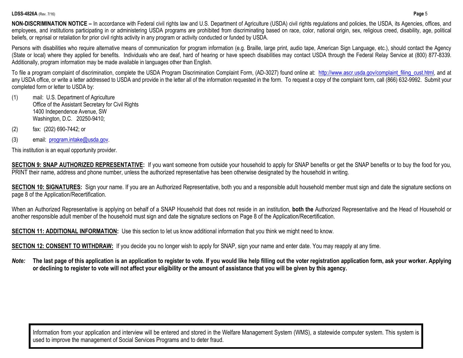**LDSS-4826A** (Rev. 7/16) **Page** 5

**NON-DISCRIMINATION NOTICE –** In accordance with Federal civil rights law and U.S. Department of Agriculture (USDA) civil rights regulations and policies, the USDA, its Agencies, offices, and employees, and institutions participating in or administering USDA programs are prohibited from discriminating based on race, color, national origin, sex, religious creed, disability, age, political beliefs, or reprisal or retaliation for prior civil rights activity in any program or activity conducted or funded by USDA.

Persons with disabilities who require alternative means of communication for program information (e.g. Braille, large print, audio tape, American Sign Language, etc.), should contact the Agency (State or local) where they applied for benefits. Individuals who are deaf, hard of hearing or have speech disabilities may contact USDA through the Federal Relay Service at (800) 877-8339. Additionally, program information may be made available in languages other than English.

To file a program complaint of discrimination, complete the USDA Program Discrimination Complaint Form, (AD-3027) found online at: [http://www.ascr.usda.gov/complaint\\_filing\\_cust.html,](http://www.ascr.usda.gov/complaint_filing_cust.html) and at any USDA office, or write a letter addressed to USDA and provide in the letter all of the information requested in the form. To request a copy of the complaint form, call (866) 632-9992. Submit your completed form or letter to USDA by:

- (1) mail: U.S. Department of Agriculture Office of the Assistant Secretary for Civil Rights 1400 Independence Avenue, SW Washington, D.C. 20250-9410;
- (2) fax: (202) 690-7442; or
- (3) email: [program.intake@usda.gov.](mailto:program.intake@usda.gov)

This institution is an equal opportunity provider.

**SECTION 9: SNAP AUTHORIZED REPRESENTATIVE:** If you want someone from outside your household to apply for SNAP benefits or get the SNAP benefits or to buy the food for you, PRINT their name, address and phone number, unless the authorized representative has been otherwise designated by the household in writing.

**SECTION 10: SIGNATURES:** Sign your name. If you are an Authorized Representative, both you and a responsible adult household member must sign and date the signature sections on page 8 of the Application/Recertification.

When an Authorized Representative is applying on behalf of a SNAP Household that does not reside in an institution, **both the** Authorized Representative and the Head of Household or another responsible adult member of the household must sign and date the signature sections on Page 8 of the Application/Recertification.

**SECTION 11: ADDITIONAL INFORMATION:** Use this section to let us know additional information that you think we might need to know.

**SECTION 12: CONSENT TO WITHDRAW:** If you decide you no longer wish to apply for SNAP, sign your name and enter date. You may reapply at any time.

*Note:* **The last page of this application is an application to register to vote. If you would like help filling out the voter registration application form, ask your worker. Applying or declining to register to vote will not affect your eligibility or the amount of assistance that you will be given by this agency.**

Information from your application and interview will be entered and stored in the Welfare Management System (WMS), a statewide computer system. This system is used to improve the management of Social Services Programs and to deter fraud.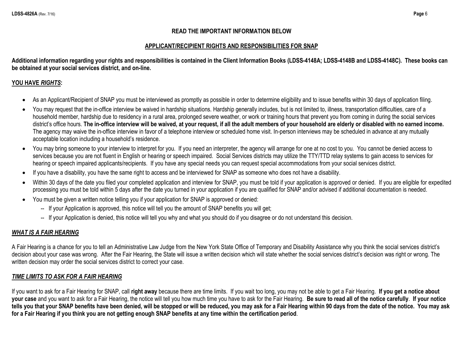### **READ THE IMPORTANT INFORMATION BELOW**

### **APPLICANT/RECIPIENT RIGHTS AND RESPONSIBILITIES FOR SNAP**

**Additional information regarding your rights and responsibilities is contained in the Client Information Books (LDSS-4148A; LDSS-4148B and LDSS-4148C). These books can be obtained at your social services district, and on-line.**

# **YOU HAVE** *RIGHTS***:**

- As an Applicant/Recipient of SNAP you must be interviewed as promptly as possible in order to determine eligibility and to issue benefits within 30 days of application filing.
- You may request that the in-office interview be waived in hardship situations. Hardship generally includes, but is not limited to, illness, transportation difficulties, care of a household member, hardship due to residency in a rural area, prolonged severe weather, or work or training hours that prevent you from coming in during the social services district's office hours. The in-office interview will be waived, at your request, if all the adult members of your household are elderly or disabled with no earned income. The agency may waive the in-office interview in favor of a telephone interview or scheduled home visit. In-person interviews may be scheduled in advance at any mutually acceptable location including a household's residence.
- You may bring someone to your interview to interpret for you. If you need an interpreter, the agency will arrange for one at no cost to you. You cannot be denied access to services because you are not fluent in English or hearing or speech impaired. Social Services districts may utilize the TTY/TTD relay systems to gain access to services for hearing or speech impaired applicants/recipients. If you have any special needs you can request special accommodations from your social services district.
- If you have a disability, you have the same right to access and be interviewed for SNAP as someone who does not have a disability.
- Within 30 days of the date you filed your completed application and interview for SNAP, you must be told if your application is approved or denied. If you are eligible for expedited processing you must be told within 5 days after the date you turned in your application if you are qualified for SNAP and/or advised if additional documentation is needed.
- You must be given a written notice telling you if your application for SNAP is approved or denied:
	- -- If your Application is approved, this notice will tell you the amount of SNAP benefits you will get;
	- -- If your Application is denied, this notice will tell you why and what you should do if you disagree or do not understand this decision.

# *WHAT IS A FAIR HEARING*

A Fair Hearing is a chance for you to tell an Administrative Law Judge from the New York State Office of Temporary and Disability Assistance why you think the social services district's decision about your case was wrong. After the Fair Hearing, the State will issue a written decision which will state whether the social services district's decision was right or wrong. The written decision may order the social services district to correct your case.

# *TIME LIMITS TO ASK FOR A FAIR HEARING*

If you want to ask for a Fair Hearing for SNAP, call **right away** because there are time limits. If you wait too long, you may not be able to get a Fair Hearing. **If you get a notice about your case** and you want to ask for a Fair Hearing, the notice will tell you how much time you have to ask for the Fair Hearing. **Be sure to read all of the notice carefully**. **If your notice tells you that your SNAP benefits have been denied, will be stopped or will be reduced, you may ask for a Fair Hearing within 90 days from the date of the notice. You may ask for a Fair Hearing if you think you are not getting enough SNAP benefits at any time within the certification period**.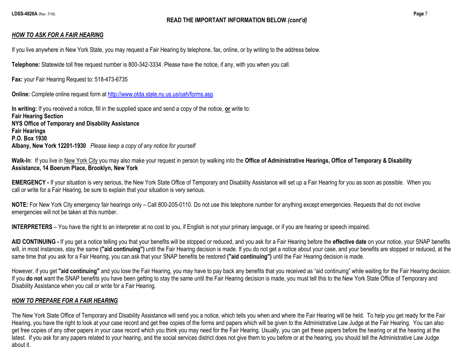### *HOW TO ASK FOR A FAIR HEARING*

If you live anywhere in New York State, you may request a Fair Hearing by telephone, fax, online, or by writing to the address below.

**Telephone:** Statewide toll free request number is 800-342-3334. Please have the notice, if any, with you when you call.

**Fax:** your Fair Hearing Request to: 518-473-6735

**Online:** Complete online request form a[t http://www.otda.state.ny.us.us/oah/forms.asp](http://www.otda.state.ny.us.us/oah/forms.asp)

**In writing:** If you received a notice, fill in the supplied space and send a copy of the notice, **or** write to: **Fair Hearing Section NYS Office of Temporary and Disability Assistance Fair Hearings P.O. Box 1930 Albany, New York 12201-1930** *Please keep a copy of any notice for yourself* 

**Walk-In**: If you live in New York City you may also make your request in person by walking into the **Office of Administrative Hearings, Office of Temporary & Disability Assistance, 14 Boerum Place, Brooklyn, New York** 

**EMERGENCY -** If your situation is very serious, the New York State Office of Temporary and Disability Assistance will set up a Fair Hearing for you as soon as possible. When you call or write for a Fair Hearing, be sure to explain that your situation is very serious*.*

**NOTE:** For New York City emergency fair hearings only – Call 800-205-0110. Do not use this telephone number for anything except emergencies. Requests that do not involve emergencies will not be taken at this number.

**INTERPRETERS** – You have the right to an interpreter at no cost to you, if English is not your primary language, or if you are hearing or speech impaired.

**AID CONTINUING -** If you get a notice telling you that your benefits will be stopped or reduced, and you ask for a Fair Hearing before the **effective date** on your notice, your SNAP benefits will, in most instances, stay the same ("aid continuing") until the Fair Hearing decision is made. If you do not get a notice about your case, and your benefits are stopped or reduced, at the same time that you ask for a Fair Hearing, you can ask that your SNAP benefits be restored **("aid continuing")** until the Fair Hearing decision is made.

However, if you get **"aid continuing"** and you lose the Fair Hearing, you may have to pay back any benefits that you received as "aid continuing" while waiting for the Fair Hearing decision. If you **do not** want the SNAP benefits you have been getting to stay the same until the Fair Hearing decision is made, you must tell this to the New York State Office of Temporary and Disability Assistance when you call or write for a Fair Hearing.

## *HOW TO PREPARE FOR A FAIR HEARING*

The New York State Office of Temporary and Disability Assistance will send you a notice, which tells you when and where the Fair Hearing will be held. To help you get ready for the Fair Hearing, you have the right to look at your case record and get free copies of the forms and papers which will be given to the Administrative Law Judge at the Fair Hearing. You can also get free copies of any other papers in your case record which you think you may need for the Fair Hearing. Usually, you can get these papers before the hearing or at the hearing at the latest. If you ask for any papers related to your hearing, and the social services district does not give them to you before or at the hearing, you should tell the Administrative Law Judge about it.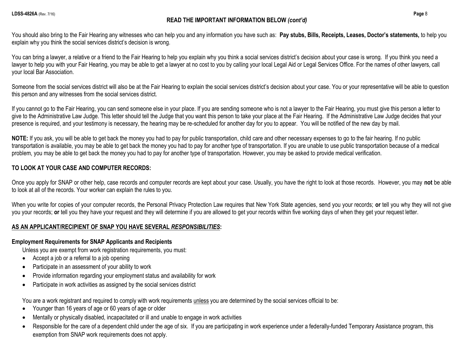### **READ THE IMPORTANT INFORMATION BELOW** *(cont'd)*

You should also bring to the Fair Hearing any witnesses who can help you and any information you have such as: Pay stubs, Bills, Receipts, Leases, Doctor's statements, to help you explain why you think the social services district's decision is wrong.

You can bring a lawyer, a relative or a friend to the Fair Hearing to help you explain why you think a social services district's decision about your case is wrong. If you think you need a lawyer to help you with your Fair Hearing, you may be able to get a lawyer at no cost to you by calling your local Legal Aid or Legal Services Office. For the names of other lawyers, call your local Bar Association.

Someone from the social services district will also be at the Fair Hearing to explain the social services district's decision about your case. You or your representative will be able to question this person and any witnesses from the social services district.

If you cannot go to the Fair Hearing, you can send someone else in your place. If you are sending someone who is not a lawyer to the Fair Hearing, you must give this person a letter to give to the Administrative Law Judge. This letter should tell the Judge that you want this person to take your place at the Fair Hearing. If the Administrative Law Judge decides that your presence is required, and your testimony is necessary, the hearing may be re-scheduled for another day for you to appear. You will be notified of the new day by mail.

**NOTE:** If you ask, you will be able to get back the money you had to pay for public transportation, child care and other necessary expenses to go to the fair hearing. If no public transportation is available, you may be able to get back the money you had to pay for another type of transportation. If you are unable to use public transportation because of a medical problem, you may be able to get back the money you had to pay for another type of transportation. However, you may be asked to provide medical verification.

### **TO LOOK AT YOUR CASE AND COMPUTER RECORDS:**

Once you apply for SNAP or other help, case records and computer records are kept about your case. Usually, you have the right to look at those records. However, you may **not** be able to look at all of the records. Your worker can explain the rules to you.

When you write for copies of your computer records, the Personal Privacy Protection Law requires that New York State agencies, send you your records; **or** tell you why they will not give you your records; or tell you they have your request and they will determine if you are allowed to get your records within five working days of when they get your request letter.

### **AS AN APPLICANT/RECIPIENT OF SNAP YOU HAVE SEVERAL** *RESPONSIBILITIES***:**

#### **Employment Requirements for SNAP Applicants and Recipients**

Unless you are exempt from work registration requirements, you must:

- Accept a job or a referral to a job opening
- Participate in an assessment of your ability to work
- Provide information regarding your employment status and availability for work
- Participate in work activities as assigned by the social services district

You are a work registrant and required to comply with work requirements unless you are determined by the social services official to be:

- Younger than 16 years of age or 60 years of age or older
- Mentally or physically disabled, incapacitated or ill and unable to engage in work activities
- Responsible for the care of a dependent child under the age of six. If you are participating in work experience under a federally-funded Temporary Assistance program, this exemption from SNAP work requirements does not apply.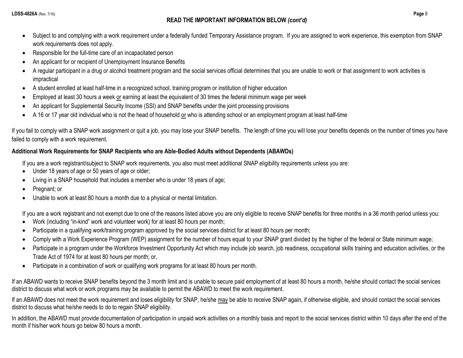### **READ THE IMPORTANT INFORMATION BELOW** *(cont'd)*

- Subject to and complying with a work requirement under a federally funded Temporary Assistance program. If you are assigned to work experience, this exemption from SNAP work requirements does not apply.
- Responsible for the full-time care of an incapacitated person
- An applicant for or recipient of Unemployment Insurance Benefits
- A regular participant in a drug or alcohol treatment program and the social services official determines that you are unable to work or that assignment to work activities is impractical
- A student enrolled at least half-time in a recognized school, training program or institution of higher education
- Employed at least 30 hours a week or earning at least the equivalent of 30 times the federal minimum wage per week
- An applicant for Supplemental Security Income (SSI) and SNAP benefits under the joint processing provisions
- A 16 or 17 year old individual who is not the head of household or who is attending school or an employment program at least half-time

If you fail to comply with a SNAP work assignment or quit a job, you may lose your SNAP benefits. The length of time you will lose your benefits depends on the number of times you have failed to comply with a work requirement.

# **Additional Work Requirements for SNAP Recipients who are Able-Bodied Adults without Dependents (ABAWDs)**

If you are a work registrant/subject to SNAP work requirements, you also must meet additional SNAP eligibility requirements unless you are:

- Under 18 years of age or 50 years of age or older;
- Living in a SNAP household that includes a member who is under 18 years of age;
- Pregnant; or
- Unable to work at least 80 hours a month due to a physical or mental limitation.

If you are a work registrant and not exempt due to one of the reasons listed above you are only eligible to receive SNAP benefits for three months in a 36 month period unless you:

- Work (including "in-kind" work and volunteer work) for at least 80 hours per month;
- Participate in a qualifying work/training program approved by the social services district for at least 80 hours per month;
- Comply with a Work Experience Program (WEP) assignment for the number of hours equal to your SNAP grant divided by the higher of the federal or State minimum wage;
- Participate in a program under the Workforce Investment Opportunity Act which may include job search, job readiness, occupational skills training and education activities, or the Trade Act of 1974 for at least 80 hours per month; or,
- Participate in a combination of work or qualifying work programs for at least 80 hours per month.

If an ABAWD wants to receive SNAP benefits beyond the 3 month limit and is unable to secure paid employment of at least 80 hours a month, he/she should contact the social services district to discuss what work or work programs may be available to permit the ABAWD to meet the work requirement.

If an ABAWD does not meet the work requirement and loses eligibility for SNAP, he/she may be able to receive SNAP again, if otherwise eligible, and should contact the social services district to discuss what he/she needs to do to regain SNAP eligibility.

In addition, the ABAWD must provide documentation of participation in unpaid work activities on a monthly basis and report to the social services district within 10 days after the end of the month if his/her work hours go below 80 hours a month.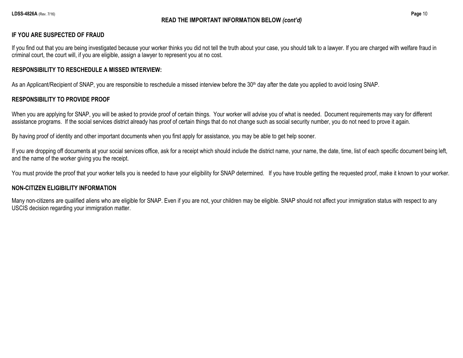#### **IF YOU ARE SUSPECTED OF FRAUD**

If you find out that you are being investigated because your worker thinks you did not tell the truth about your case, you should talk to a lawyer. If you are charged with welfare fraud in criminal court, the court will, if you are eligible, assign a lawyer to represent you at no cost.

#### **RESPONSIBILITY TO RESCHEDULE A MISSED INTERVIEW:**

As an Applicant/Recipient of SNAP, you are responsible to reschedule a missed interview before the 30<sup>th</sup> day after the date you applied to avoid losing SNAP.

### **RESPONSIBILITY TO PROVIDE PROOF**

When you are applying for SNAP, you will be asked to provide proof of certain things. Your worker will advise you of what is needed. Document requirements may vary for different assistance programs. If the social services district already has proof of certain things that do not change such as social security number, you do not need to prove it again.

By having proof of identity and other important documents when you first apply for assistance, you may be able to get help sooner.

If you are dropping off documents at your social services office, ask for a receipt which should include the district name, your name, the date, time, list of each specific document being left, and the name of the worker giving you the receipt.

You must provide the proof that your worker tells you is needed to have your eligibility for SNAP determined. If you have trouble getting the requested proof, make it known to your worker.

### **NON-CITIZEN ELIGIBILITY INFORMATION**

Many non-citizens are qualified aliens who are eligible for SNAP. Even if you are not, your children may be eligible. SNAP should not affect your immigration status with respect to any USCIS decision regarding your immigration matter.